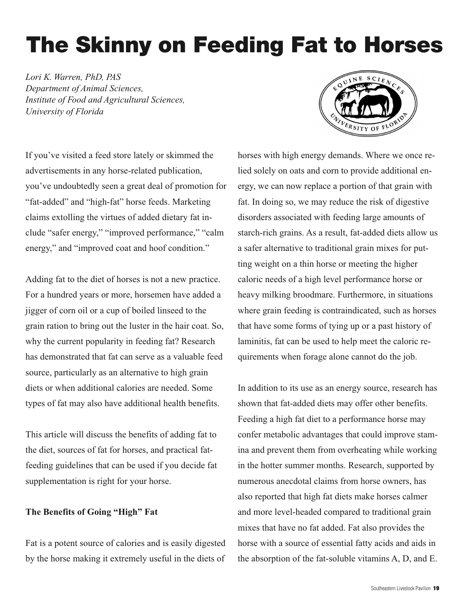# The Skinny on Feeding Fat to Horses

*Lori K. Warren, PhD, PAS Department of Animal Sciences, Institute of Food and Agricultural Sciences, University of Florida*

SCIENCES EQUINE

If you've visited a feed store lately or skimmed the advertisements in any horse-related publication, you've undoubtedly seen a great deal of promotion for "fat-added" and "high-fat" horse feeds. Marketing claims extolling the virtues of added dietary fat include "safer energy," "improved performance," "calm energy," and "improved coat and hoof condition."

Adding fat to the diet of horses is not a new practice. For a hundred years or more, horsemen have added a jigger of corn oil or a cup of boiled linseed to the grain ration to bring out the luster in the hair coat. So, why the current popularity in feeding fat? Research has demonstrated that fat can serve as a valuable feed source, particularly as an alternative to high grain diets or when additional calories are needed. Some types of fat may also have additional health benefits.

This article will discuss the benefits of adding fat to the diet, sources of fat for horses, and practical fatfeeding guidelines that can be used if you decide fat supplementation is right for your horse.

# **The Benefits of Going "High" Fat**

Fat is a potent source of calories and is easily digested by the horse making it extremely useful in the diets of horses with high energy demands. Where we once relied solely on oats and corn to provide additional energy, we can now replace a portion of that grain with fat. In doing so, we may reduce the risk of digestive disorders associated with feeding large amounts of starch-rich grains. As a result, fat-added diets allow us a safer alternative to traditional grain mixes for putting weight on a thin horse or meeting the higher caloric needs of a high level performance horse or heavy milking broodmare. Furthermore, in situations where grain feeding is contraindicated, such as horses that have some forms of tying up or a past history of laminitis, fat can be used to help meet the caloric requirements when forage alone cannot do the job.

In addition to its use as an energy source, research has shown that fat-added diets may offer other benefits. Feeding a high fat diet to a performance horse may confer metabolic advantages that could improve stamina and prevent them from overheating while working in the hotter summer months. Research, supported by numerous anecdotal claims from horse owners, has also reported that high fat diets make horses calmer and more level-headed compared to traditional grain mixes that have no fat added. Fat also provides the horse with a source of essential fatty acids and aids in the absorption of the fat-soluble vitamins A, D, and E.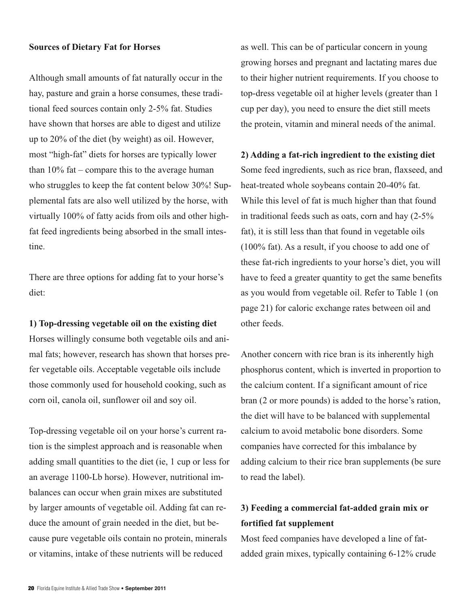# **Sources of Dietary Fat for Horses**

Although small amounts of fat naturally occur in the hay, pasture and grain a horse consumes, these traditional feed sources contain only 2-5% fat. Studies have shown that horses are able to digest and utilize up to 20% of the diet (by weight) as oil. However, most "high-fat" diets for horses are typically lower than  $10\%$  fat – compare this to the average human who struggles to keep the fat content below 30%! Supplemental fats are also well utilized by the horse, with virtually 100% of fatty acids from oils and other highfat feed ingredients being absorbed in the small intestine.

There are three options for adding fat to your horse's diet:

# **1) Top-dressing vegetable oil on the existing diet**

Horses willingly consume both vegetable oils and animal fats; however, research has shown that horses prefer vegetable oils. Acceptable vegetable oils include those commonly used for household cooking, such as corn oil, canola oil, sunflower oil and soy oil.

Top-dressing vegetable oil on your horse's current ration is the simplest approach and is reasonable when adding small quantities to the diet (ie, 1 cup or less for an average 1100-Lb horse). However, nutritional imbalances can occur when grain mixes are substituted by larger amounts of vegetable oil. Adding fat can reduce the amount of grain needed in the diet, but because pure vegetable oils contain no protein, minerals or vitamins, intake of these nutrients will be reduced

as well. This can be of particular concern in young growing horses and pregnant and lactating mares due to their higher nutrient requirements. If you choose to top-dress vegetable oil at higher levels (greater than 1 cup per day), you need to ensure the diet still meets the protein, vitamin and mineral needs of the animal.

#### **2) Adding a fat-rich ingredient to the existing diet**

Some feed ingredients, such as rice bran, flaxseed, and heat-treated whole soybeans contain 20-40% fat. While this level of fat is much higher than that found in traditional feeds such as oats, corn and hay (2-5% fat), it is still less than that found in vegetable oils (100% fat). As a result, if you choose to add one of these fat-rich ingredients to your horse's diet, you will have to feed a greater quantity to get the same benefits as you would from vegetable oil. Refer to Table 1 (on page 21) for caloric exchange rates between oil and other feeds.

Another concern with rice bran is its inherently high phosphorus content, which is inverted in proportion to the calcium content. If a significant amount of rice bran (2 or more pounds) is added to the horse's ration, the diet will have to be balanced with supplemental calcium to avoid metabolic bone disorders. Some companies have corrected for this imbalance by adding calcium to their rice bran supplements (be sure to read the label).

# **3) Feeding a commercial fat-added grain mix or fortified fat supplement**

Most feed companies have developed a line of fatadded grain mixes, typically containing 6-12% crude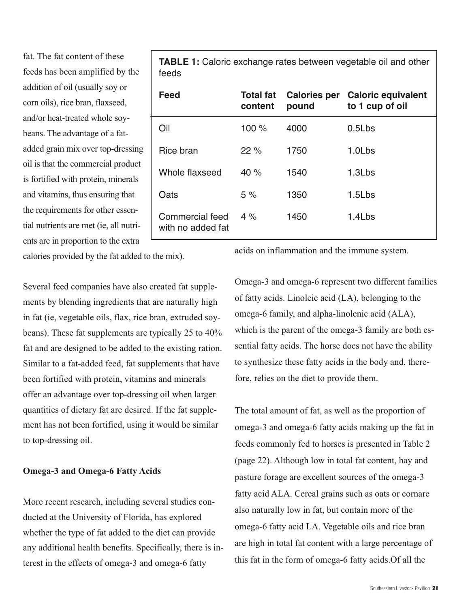fat. The fat content of these feeds has been amplified by the addition of oil (usually soy or corn oils), rice bran, flaxseed, and/or heat-treated whole soybeans. The advantage of a fatadded grain mix over top-dressing oil is that the commercial product is fortified with protein, minerals and vitamins, thus ensuring that the requirements for other essential nutrients are met (ie, all nutrients are in proportion to the extra

**TABLE 1:** Caloric exchange rates between vegetable oil and other feeds

| Feed                                 | <b>Total fat</b><br>content | <b>Calories per</b><br>pound | <b>Caloric equivalent</b><br>to 1 cup of oil |
|--------------------------------------|-----------------------------|------------------------------|----------------------------------------------|
| Oil                                  | 100 $%$                     | 4000                         | 0.5Lbs                                       |
| Rice bran                            | 22%                         | 1750                         | 1.0Lbs                                       |
| Whole flaxseed                       | 40 $\%$                     | 1540                         | 1.3Lbs                                       |
| Oats                                 | 5%                          | 1350                         | 1.5Lbs                                       |
| Commercial feed<br>with no added fat | $4\%$                       | 1450                         | 1.4Lbs                                       |

calories provided by the fat added to the mix).

Several feed companies have also created fat supplements by blending ingredients that are naturally high in fat (ie, vegetable oils, flax, rice bran, extruded soybeans). These fat supplements are typically 25 to 40% fat and are designed to be added to the existing ration. Similar to a fat-added feed, fat supplements that have been fortified with protein, vitamins and minerals offer an advantage over top-dressing oil when larger quantities of dietary fat are desired. If the fat supplement has not been fortified, using it would be similar to top-dressing oil.

# **Omega-3 and Omega-6 Fatty Acids**

More recent research, including several studies conducted at the University of Florida, has explored whether the type of fat added to the diet can provide any additional health benefits. Specifically, there is interest in the effects of omega-3 and omega-6 fatty

acids on inflammation and the immune system.

Omega-3 and omega-6 represent two different families of fatty acids. Linoleic acid (LA), belonging to the omega-6 family, and alpha-linolenic acid (ALA), which is the parent of the omega-3 family are both essential fatty acids. The horse does not have the ability to synthesize these fatty acids in the body and, therefore, relies on the diet to provide them.

The total amount of fat, as well as the proportion of omega-3 and omega-6 fatty acids making up the fat in feeds commonly fed to horses is presented in Table 2 (page 22). Although low in total fat content, hay and pasture forage are excellent sources of the omega-3 fatty acid ALA. Cereal grains such as oats or cornare also naturally low in fat, but contain more of the omega-6 fatty acid LA. Vegetable oils and rice bran are high in total fat content with a large percentage of this fat in the form of omega-6 fatty acids.Of all the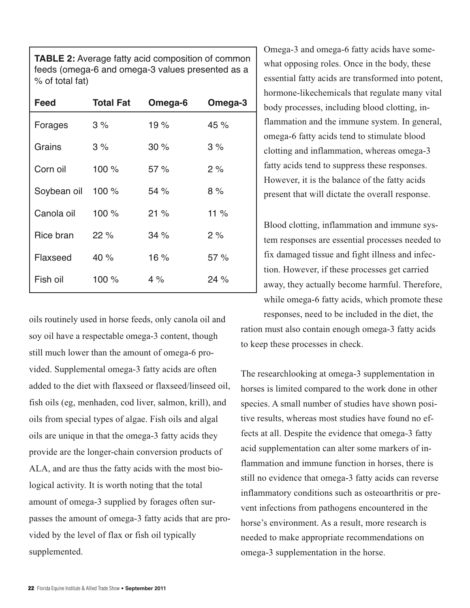**TABLE 2:** Average fatty acid composition of common feeds (omega-6 and omega-3 values presented as a % of total fat)

| Feed        | <b>Total Fat</b> | Omega-6 | Omega-3 |
|-------------|------------------|---------|---------|
| Forages     | 3%               | 19 $%$  | 45 %    |
| Grains      | 3%               | 30%     | 3%      |
| Corn oil    | 100 %            | 57%     | 2%      |
| Soybean oil | 100 %            | 54%     | 8%      |
| Canola oil  | 100 %            | 21%     | 11 $%$  |
| Rice bran   | 22%              | 34 %    | 2%      |
| Flaxseed    | 40 $%$           | 16 $%$  | 57%     |
| Fish oil    | 100 $%$          | 4%      | 24%     |

oils routinely used in horse feeds, only canola oil and soy oil have a respectable omega-3 content, though still much lower than the amount of omega-6 provided. Supplemental omega-3 fatty acids are often added to the diet with flaxseed or flaxseed/linseed oil, fish oils (eg, menhaden, cod liver, salmon, krill), and oils from special types of algae. Fish oils and algal oils are unique in that the omega-3 fatty acids they provide are the longer-chain conversion products of ALA, and are thus the fatty acids with the most biological activity. It is worth noting that the total amount of omega-3 supplied by forages often surpasses the amount of omega-3 fatty acids that are provided by the level of flax or fish oil typically supplemented.

Omega-3 and omega-6 fatty acids have somewhat opposing roles. Once in the body, these essential fatty acids are transformed into potent, hormone-likechemicals that regulate many vital body processes, including blood clotting, inflammation and the immune system. In general, omega-6 fatty acids tend to stimulate blood clotting and inflammation, whereas omega-3 fatty acids tend to suppress these responses. However, it is the balance of the fatty acids present that will dictate the overall response.

Blood clotting, inflammation and immune system responses are essential processes needed to fix damaged tissue and fight illness and infection. However, if these processes get carried away, they actually become harmful. Therefore, while omega-6 fatty acids, which promote these responses, need to be included in the diet, the

ration must also contain enough omega-3 fatty acids to keep these processes in check.

The researchlooking at omega-3 supplementation in horses is limited compared to the work done in other species. A small number of studies have shown positive results, whereas most studies have found no effects at all. Despite the evidence that omega-3 fatty acid supplementation can alter some markers of inflammation and immune function in horses, there is still no evidence that omega-3 fatty acids can reverse inflammatory conditions such as osteoarthritis or prevent infections from pathogens encountered in the horse's environment. As a result, more research is needed to make appropriate recommendations on omega-3 supplementation in the horse.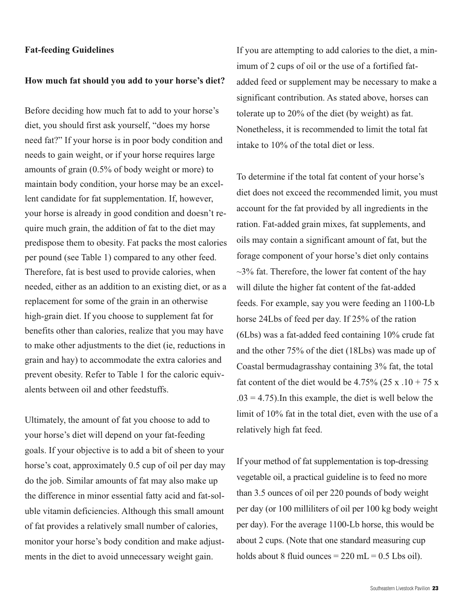# **Fat-feeding Guidelines**

#### **How much fat should you add to your horse's diet?**

Before deciding how much fat to add to your horse's diet, you should first ask yourself, "does my horse need fat?" If your horse is in poor body condition and needs to gain weight, or if your horse requires large amounts of grain (0.5% of body weight or more) to maintain body condition, your horse may be an excellent candidate for fat supplementation. If, however, your horse is already in good condition and doesn't require much grain, the addition of fat to the diet may predispose them to obesity. Fat packs the most calories per pound (see Table 1) compared to any other feed. Therefore, fat is best used to provide calories, when needed, either as an addition to an existing diet, or as a replacement for some of the grain in an otherwise high-grain diet. If you choose to supplement fat for benefits other than calories, realize that you may have to make other adjustments to the diet (ie, reductions in grain and hay) to accommodate the extra calories and prevent obesity. Refer to Table 1 for the caloric equivalents between oil and other feedstuffs.

Ultimately, the amount of fat you choose to add to your horse's diet will depend on your fat-feeding goals. If your objective is to add a bit of sheen to your horse's coat, approximately 0.5 cup of oil per day may do the job. Similar amounts of fat may also make up the difference in minor essential fatty acid and fat-soluble vitamin deficiencies. Although this small amount of fat provides a relatively small number of calories, monitor your horse's body condition and make adjustments in the diet to avoid unnecessary weight gain.

If you are attempting to add calories to the diet, a minimum of 2 cups of oil or the use of a fortified fatadded feed or supplement may be necessary to make a significant contribution. As stated above, horses can tolerate up to 20% of the diet (by weight) as fat. Nonetheless, it is recommended to limit the total fat intake to 10% of the total diet or less.

To determine if the total fat content of your horse's diet does not exceed the recommended limit, you must account for the fat provided by all ingredients in the ration. Fat-added grain mixes, fat supplements, and oils may contain a significant amount of fat, but the forage component of your horse's diet only contains  $\sim$ 3% fat. Therefore, the lower fat content of the hay will dilute the higher fat content of the fat-added feeds. For example, say you were feeding an 1100-Lb horse 24Lbs of feed per day. If 25% of the ration (6Lbs) was a fat-added feed containing 10% crude fat and the other 75% of the diet (18Lbs) was made up of Coastal bermudagrasshay containing 3% fat, the total fat content of the diet would be  $4.75\%$  (25 x .10 + 75 x  $.03 = 4.75$ ). In this example, the diet is well below the limit of 10% fat in the total diet, even with the use of a relatively high fat feed.

If your method of fat supplementation is top-dressing vegetable oil, a practical guideline is to feed no more than 3.5 ounces of oil per 220 pounds of body weight per day (or 100 milliliters of oil per 100 kg body weight per day). For the average 1100-Lb horse, this would be about 2 cups. (Note that one standard measuring cup holds about 8 fluid ounces  $= 220$  mL  $= 0.5$  Lbs oil).